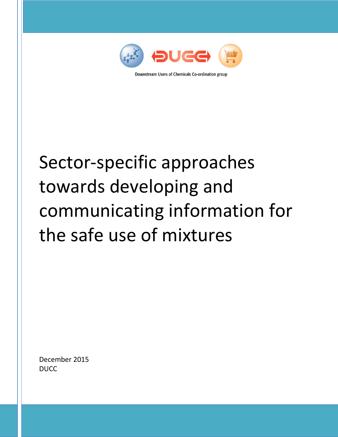

Downstream Users of Chemicals Co-ordination group

# Sector-specific approaches towards developing and communicating information for the safe use of mixtures

December 2015 DUCC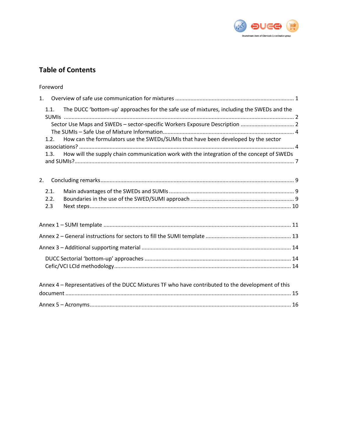

# **Table of Contents**

| Foreword                                                                                          |  |
|---------------------------------------------------------------------------------------------------|--|
| 1.                                                                                                |  |
| The DUCC 'bottom-up' approaches for the safe use of mixtures, including the SWEDs and the<br>1.1. |  |
| Sector Use Maps and SWEDs - sector-specific Workers Exposure Description  2                       |  |
| How can the formulators use the SWEDs/SUMIs that have been developed by the sector<br>1.2.        |  |
| How will the supply chain communication work with the integration of the concept of SWEDs<br>1.3. |  |
| 2.                                                                                                |  |
| 2.1.<br>2.2.<br>2.3                                                                               |  |
|                                                                                                   |  |
|                                                                                                   |  |
|                                                                                                   |  |
|                                                                                                   |  |
| Annex 4 - Representatives of the DUCC Mixtures TF who have contributed to the development of this |  |
|                                                                                                   |  |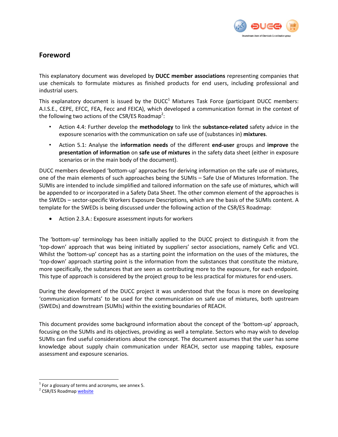

## <span id="page-2-0"></span>**Foreword**

This explanatory document was developed by **DUCC member associations** representing companies that use chemicals to formulate mixtures as finished products for end users, including professional and industrial users.

This explanatory document is issued by the DUCC<sup>1</sup> Mixtures Task Force (participant DUCC members: A.I.S.E., CEPE, EFCC, FEA, Fecc and FEICA), which developed a communication format in the context of the following two actions of the CSR/ES Roadmap<sup>2</sup>:

- Action 4.4: Further develop the **methodology** to link the **substance-related** safety advice in the exposure scenarios with the communication on safe use of (substances in) **mixtures**.
- Action 5.1: Analyse the **information needs** of the different **end-user** groups and **improve** the **presentation of information** on **safe use of mixtures** in the safety data sheet (either in exposure scenarios or in the main body of the document).

DUCC members developed 'bottom-up' approaches for deriving information on the safe use of mixtures, one of the main elements of such approaches being the SUMIs – Safe Use of Mixtures Information. The SUMIs are intended to include simplified and tailored information on the safe use of mixtures, which will be appended to or incorporated in a Safety Data Sheet. The other common element of the approaches is the SWEDs – sector-specific Workers Exposure Descriptions, which are the basis of the SUMIs content. A template for the SWEDs is being discussed under the following action of the CSR/ES Roadmap:

Action 2.3.A.: Exposure assessment inputs for workers

The 'bottom-up' terminology has been initially applied to the DUCC project to distinguish it from the 'top-down' approach that was being initiated by suppliers' sector associations, namely Cefic and VCI. Whilst the 'bottom-up' concept has as a starting point the information on the uses of the mixtures, the 'top-down' approach starting point is the information from the substances that constitute the mixture, more specifically, the substances that are seen as contributing more to the exposure, for each endpoint. This type of approach is considered by the project group to be less practical for mixtures for end-users.

During the development of the DUCC project it was understood that the focus is more on developing 'communication formats' to be used for the communication on safe use of mixtures, both upstream (SWEDs) and downstream (SUMIs) within the existing boundaries of REACH.

This document provides some background information about the concept of the 'bottom-up' approach, focusing on the SUMIs and its objectives, providing as well a template. Sectors who may wish to develop SUMIs can find useful considerations about the concept. The document assumes that the user has some knowledge about supply chain communication under REACH, sector use mapping tables, exposure assessment and exposure scenarios.

 $<sup>1</sup>$  For a glossary of terms and acronyms, see annex 5.</sup>

<sup>&</sup>lt;sup>2</sup> CSR/ES Roadmap <u>website</u>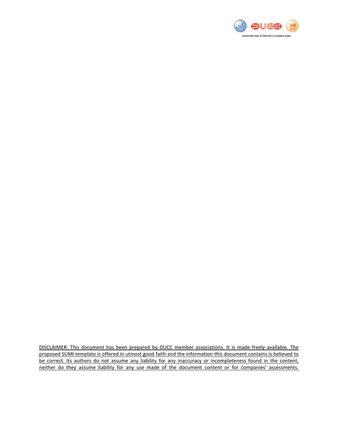

DISCLAIMER: This document has been prepared by DUCC member associations. It is made freely available. The proposed SUMI template is offered in utmost good faith and the information this document contains is believed to be correct. Its authors do not assume any liability for any inaccuracy or incompleteness found in the content, neither do they assume liability for any use made of the document content or for companies' assessments.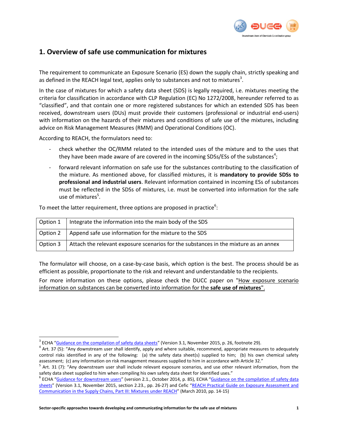

## <span id="page-4-0"></span>**1. Overview of safe use communication for mixtures**

The requirement to communicate an Exposure Scenario (ES) down the supply chain, strictly speaking and as defined in the REACH legal text, applies only to substances and not to mixtures<sup>3</sup>.

In the case of mixtures for which a safety data sheet (SDS) is legally required, i.e. mixtures meeting the criteria for classification in accordance with CLP Regulation (EC) No 1272/2008, hereunder referred to as "classified", and that contain one or more registered substances for which an extended SDS has been received, downstream users (DUs) must provide their customers (professional or industrial end-users) with information on the hazards of their mixtures and conditions of safe use of the mixtures, including advice on Risk Management Measures (RMM) and Operational Conditions (OC).

According to REACH, the formulators need to:

 $\overline{a}$ 

- check whether the OC/RMM related to the intended uses of the mixture and to the uses that they have been made aware of are covered in the incoming SDSs/ESs of the substances<sup>4</sup>;
- forward relevant information on safe use for the substances contributing to the classification of the mixture. As mentioned above, for classified mixtures, it is **mandatory to provide SDSs to professional and industrial users**. Relevant information contained in incoming ESs of substances must be reflected in the SDSs of mixtures, i.e. must be converted into information for the safe use of mixtures<sup>5</sup>.

To meet the latter requirement, three options are proposed in practice<sup>6</sup>:

| Option 1   Integrate the information into the main body of the SDS                              |
|-------------------------------------------------------------------------------------------------|
| Option 2   Append safe use information for the mixture to the SDS                               |
| Option $3$ Attach the relevant exposure scenarios for the substances in the mixture as an annex |

The formulator will choose, on a case-by-case basis, which option is the best. The process should be as efficient as possible, proportionate to the risk and relevant and understandable to the recipients.

For more information on these options, please check the DUCC paper on ["How exposure scenario](http://ducc.eu/documents/15%2011%202012_DUCC%20recommendation%20on%20ES%20information%20for%20safe%20use%20of%20mixtures.pdf)  [information on substances can be converted into information for the](http://ducc.eu/documents/15%2011%202012_DUCC%20recommendation%20on%20ES%20information%20for%20safe%20use%20of%20mixtures.pdf) **safe use of mixtures**".

<sup>&</sup>lt;sup>3</sup> ECHA "<u>[Guidance on the compilation of safety data sheets](http://echa.europa.eu/documents/10162/13643/sds_en.pdf)</u>" (Version 3.1, November 2015, p. 26, footnote 29).

<sup>&</sup>lt;sup>4</sup> Art. 37 (5): "Any downstream user shall identify, apply and where suitable, recommend, appropriate measures to adequately control risks identified in any of the following: (a) the safety data sheet(s) supplied to him; (b) his own chemical safety assessment; (c) any information on risk management measures supplied to him in accordance with Article 32."

<sup>&</sup>lt;sup>5</sup> Art. 31 (7): "Any downstream user shall include relevant exposure scenarios, and use other relevant information, from the safety data sheet supplied to him when compiling his own safety data sheet for identified uses."

<sup>&</sup>lt;sup>6</sup> ECHA "[Guidance for downstream users](http://echa.europa.eu/documents/10162/13634/du_en.pdf)" (version 2.1., October 2014, p. 85), ECHA "Guidance on the compilation of safety data [sheets](http://echa.europa.eu/documents/10162/13643/sds_en.pdf)" (Version 3.1, November 2015, section 2.23., pp. 26-27) and Cefic "REACH Practical Guide on Exposure Assessment and [Communication in the Supply Chains, Part III: Mixtures](http://www.cefic.org/Documents/IndustrySupport/REACH_Practical_Guide_Part_III_Mixtures_FINAL_CEFIC.pdf) under REACH" (March 2010, pp. 14-15)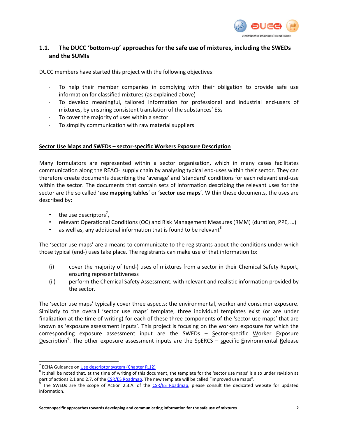

## <span id="page-5-0"></span>**1.1. The DUCC 'bottom-up' approaches for the safe use of mixtures, including the SWEDs and the SUMIs**

DUCC members have started this project with the following objectives:

- To help their member companies in complying with their obligation to provide safe use information for classified mixtures (as explained above)
- To develop meaningful, tailored information for professional and industrial end-users of mixtures, by ensuring consistent translation of the substances' ESs
- To cover the majority of uses within a sector
- To simplify communication with raw material suppliers

#### <span id="page-5-1"></span>**Sector Use Maps and SWEDs – sector-specific Workers Exposure Description**

Many formulators are represented within a sector organisation, which in many cases facilitates communication along the REACH supply chain by analysing typical end-uses within their sector. They can therefore create documents describing the 'average' and 'standard' conditions for each relevant end-use within the sector. The documents that contain sets of information describing the relevant uses for the sector are the so called '**use mapping tables**' or '**sector use maps**'. Within these documents, the uses are described by:

- the use descriptors<sup>7</sup>,
- relevant Operational Conditions (OC) and Risk Management Measures (RMM) (duration, PPE, …)
- as well as, any additional information that is found to be relevant<sup>8</sup>

The 'sector use maps' are a means to communicate to the registrants about the conditions under which those typical (end-) uses take place. The registrants can make use of that information to:

- (i) cover the majority of (end-) uses of mixtures from a sector in their Chemical Safety Report, ensuring representativeness
- (ii) perform the Chemical Safety Assessment, with relevant and realistic information provided by the sector.

The 'sector use maps' typically cover three aspects: the environmental, worker and consumer exposure. Similarly to the overall 'sector use maps' template, three individual templates exist (or are under finalization at the time of writing) for each of these three components of the 'sector use maps' that are known as 'exposure assessment inputs'. This project is focusing on the workers exposure for which the corresponding exposure assessment input are the SWEDs  $-$  Sector-specific Worker Exposure Description<sup>9</sup>. The other exposure assessment inputs are the SpERCS – specific Environmental Release

<sup>&</sup>lt;sup>7</sup> ECHA Guidance on [Use descriptor system \(Chapter R.12\)](http://echa.europa.eu/documents/10162/13632/information_requirements_r12_en.pdf)

 $^8$  It shall be noted that, at the time of writing of this document, the template for the 'sector use maps' is also under revision as part of actions 2.1 and 2.7. of th[e CSR/ES Roadmap.](http://echa.europa.eu/en/regulations/reach/registration/information-requirements/chemical-safety-report/csr-es-roadmap) The new template will be called "improved use maps".

<sup>&</sup>lt;sup>9</sup> The SWEDs are the scope of Action 2.3.A. of the [CSR/ES Roadmap,](http://echa.europa.eu/en/regulations/reach/registration/information-requirements/chemical-safety-report/csr-es-roadmap) please consult the dedicated website for updated information.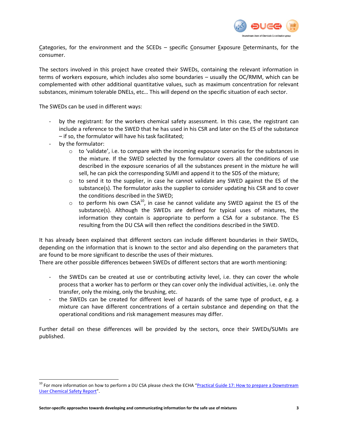

Categories, for the environment and the SCEDs – specific Consumer Exposure Determinants, for the consumer.

The sectors involved in this project have created their SWEDs, containing the relevant information in terms of workers exposure, which includes also some boundaries – usually the OC/RMM, which can be complemented with other additional quantitative values, such as maximum concentration for relevant substances, minimum tolerable DNELs, etc… This will depend on the specific situation of each sector.

The SWEDs can be used in different ways:

- by the registrant: for the workers chemical safety assessment. In this case, the registrant can include a reference to the SWED that he has used in his CSR and later on the ES of the substance – if so, the formulator will have his task facilitated;
- by the formulator:

 $\overline{a}$ 

- $\circ$  to 'validate', i.e. to compare with the incoming exposure scenarios for the substances in the mixture. If the SWED selected by the formulator covers all the conditions of use described in the exposure scenarios of all the substances present in the mixture he will sell, he can pick the corresponding SUMI and append it to the SDS of the mixture;
- $\circ$  to send it to the supplier, in case he cannot validate any SWED against the ES of the substance(s). The formulator asks the supplier to consider updating his CSR and to cover the conditions described in the SWED;
- $\circ$  to perform his own CSA<sup>10</sup>, in case he cannot validate any SWED against the ES of the substance(s). Although the SWEDs are defined for typical uses of mixtures, the information they contain is appropriate to perform a CSA for a substance. The ES resulting from the DU CSA will then reflect the conditions described in the SWED.

It has already been explained that different sectors can include different boundaries in their SWEDs, depending on the information that is known to the sector and also depending on the parameters that are found to be more significant to describe the uses of their mixtures.

There are other possible differences between SWEDs of different sectors that are worth mentioning:

- the SWEDs can be created at use or contributing activity level, i.e. they can cover the whole process that a worker has to perform or they can cover only the individual activities, i.e. only the transfer, only the mixing, only the brushing, etc.
- the SWEDs can be created for different level of hazards of the same type of product, e.g. a mixture can have different concentrations of a certain substance and depending on that the operational conditions and risk management measures may differ.

Further detail on these differences will be provided by the sectors, once their SWEDs/SUMIs are published.

<sup>&</sup>lt;sup>10</sup> For more information on how to perform a DU CSA please check the ECHA "Practical Guide 17: How to prepare a Downstream [User Chemical Safety Report](http://echa.europa.eu/documents/10162/13634/du_en.pdf)".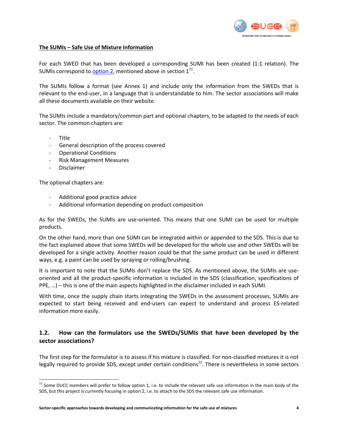

#### <span id="page-7-0"></span>**The SUMIs – Safe Use of Mixture Information**

For each SWED that has been developed a corresponding SUMI has been created (1:1 relation). The SUMIs correspond to **option 2**, mentioned above in section  $1^{11}$ .

The SUMIs follow a format (see Annex 1) and include only the information from the SWEDs that is relevant to the end-user, in a language that is understandable to him. The sector associations will make all these documents available on their website.

The SUMIs include a mandatory/common part and optional chapters, to be adapted to the needs of each sector. The common chapters are:

- Title

 $\overline{a}$ 

- General description of the process covered
- Operational Conditions
- Risk Management Measures
- Disclaimer

The optional chapters are:

- Additional good practice advice
- Additional information depending on product composition

As for the SWEDs, the SUMIs are use-oriented. This means that one SUMI can be used for multiple products.

On the other hand, more than one SUMI can be integrated within or appended to the SDS. This is due to the fact explained above that some SWEDs will be developed for the whole use and other SWEDs will be developed for a single activity. Another reason could be that the same product can be used in different ways, e.g. a paint can be used by spraying or rolling/brushing.

It is important to note that the SUMIs don't replace the SDS. As mentioned above, the SUMIs are useoriented and all the product-specific information is included in the SDS (classification, specifications of PPE, …) – this is one of the main aspects highlighted in the disclaimer included in each SUMI.

With time, once the supply chain starts integrating the SWEDs in the assessment processes, SUMIs are expected to start being received and end-users can expect to understand and process ES-related information more easily.

## <span id="page-7-1"></span>**1.2. How can the formulators use the SWEDs/SUMIs that have been developed by the sector associations?**

The first step for the formulator is to assess if his mixture is classified. For non-classified mixtures it is not legally required to provide SDS, except under certain conditions $12$ . There is nevertheless in some sectors

 $11$  Some DUCC members will prefer to follow option 1, i.e. to include the relevant safe use information in the main body of the SDS, but this project is currently focusing in option 2, i.e. to attach to the SDS the relevant safe use information.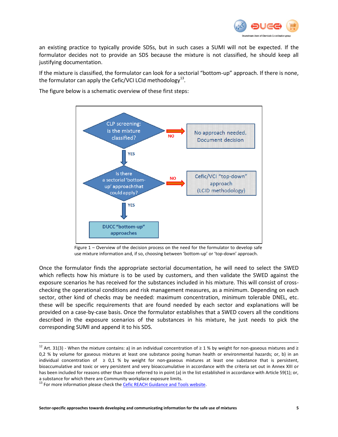

an existing practice to typically provide SDSs, but in such cases a SUMI will not be expected. If the formulator decides not to provide an SDS because the mixture is not classified, he should keep all justifying documentation.

If the mixture is classified, the formulator can look for a sectorial "bottom-up" approach. If there is none, the formulator can apply the Cefic/VCI LCId methodology<sup>13</sup>.

The figure below is a schematic overview of these first steps:



Figure 1 – Overview of the decision process on the need for the formulator to develop safe use mixture information and, if so, choosing between 'bottom-up' or 'top-down' approach.

Once the formulator finds the appropriate sectorial documentation, he will need to select the SWED which reflects how his mixture is to be used by customers, and then validate the SWED against the exposure scenarios he has received for the substances included in his mixture. This will consist of crosschecking the operational conditions and risk management measures, as a minimum. Depending on each sector, other kind of checks may be needed: maximum concentration, minimum tolerable DNEL, etc. these will be specific requirements that are found needed by each sector and explanations will be provided on a case-by-case basis. Once the formulator establishes that a SWED covers all the conditions described in the exposure scenarios of the substances in his mixture, he just needs to pick the corresponding SUMI and append it to his SDS.

<sup>&</sup>lt;sup>12</sup> Art. 31(3) - When the mixture contains: a) in an individual concentration of  $\geq 1$  % by weight for non-gaseous mixtures and  $\geq$ 0,2 % by volume for gaseous mixtures at least one substance posing human health or environmental hazards; or, b) in an individual concentration of  $\geq 0.1$  % by weight for non-gaseous mixtures at least one substance that is persistent, bioaccumulative and toxic or very persistent and very bioaccumulative in accordance with the criteria set out in Annex XIII or has been included for reasons other than those referred to in point (a) in the list established in accordance with Article 59(1); or, a substance for which there are Community workplace exposure limits.

<sup>&</sup>lt;sup>13</sup> For more information please check the **Cefic REACH Guidance and Tools website**.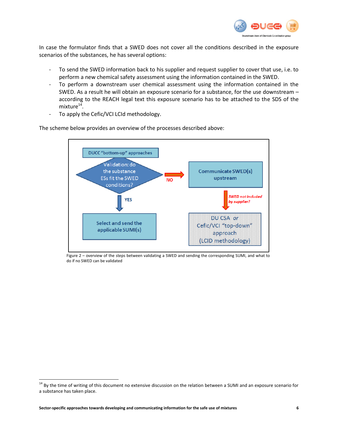

In case the formulator finds that a SWED does not cover all the conditions described in the exposure scenarios of the substances, he has several options:

- To send the SWED information back to his supplier and request supplier to cover that use, i.e. to perform a new chemical safety assessment using the information contained in the SWED.
- To perform a downstream user chemical assessment using the information contained in the SWED. As a result he will obtain an exposure scenario for a substance, for the use downstream – according to the REACH legal text this exposure scenario has to be attached to the SDS of the mixture $^{14}$ .
- To apply the Cefic/VCI LCId methodology.

The scheme below provides an overview of the processes described above:



Figure 2 – overview of the steps between validating a SWED and sending the corresponding SUMI, and what to do if no SWED can be validated

<sup>&</sup>lt;sup>14</sup> By the time of writing of this document no extensive discussion on the relation between a SUMI and an exposure scenario for a substance has taken place.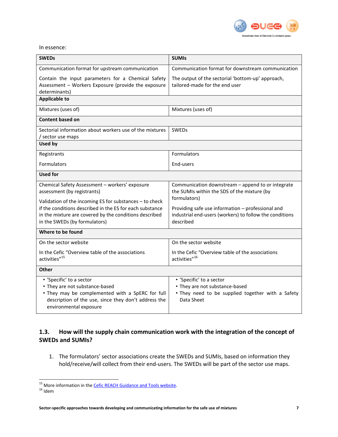

In essence:

| <b>SWEDs</b>                                                                                                                                                                                                   | <b>SUMIS</b>                                                                                                                  |  |  |  |
|----------------------------------------------------------------------------------------------------------------------------------------------------------------------------------------------------------------|-------------------------------------------------------------------------------------------------------------------------------|--|--|--|
| Communication format for upstream communication                                                                                                                                                                | Communication format for downstream communication                                                                             |  |  |  |
| Contain the input parameters for a Chemical Safety<br>Assessment - Workers Exposure (provide the exposure<br>determinants)                                                                                     | The output of the sectorial 'bottom-up' approach,<br>tailored-made for the end user                                           |  |  |  |
| <b>Applicable to</b>                                                                                                                                                                                           |                                                                                                                               |  |  |  |
| Mixtures (uses of)                                                                                                                                                                                             | Mixtures (uses of)                                                                                                            |  |  |  |
| Content based on                                                                                                                                                                                               |                                                                                                                               |  |  |  |
| Sectorial information about workers use of the mixtures<br>/ sector use maps                                                                                                                                   | <b>SWEDs</b>                                                                                                                  |  |  |  |
| <b>Used by</b>                                                                                                                                                                                                 |                                                                                                                               |  |  |  |
| Registrants                                                                                                                                                                                                    | Formulators                                                                                                                   |  |  |  |
| Formulators                                                                                                                                                                                                    | End-users                                                                                                                     |  |  |  |
| <b>Used for</b>                                                                                                                                                                                                |                                                                                                                               |  |  |  |
| Chemical Safety Assessment - workers' exposure<br>assessment (by registrants)                                                                                                                                  | Communication downstream - append to or integrate<br>the SUMIs within the SDS of the mixture (by<br>formulators)              |  |  |  |
| Validation of the incoming ES for substances - to check<br>if the conditions described in the ES for each substance<br>in the mixture are covered by the conditions described<br>in the SWEDs (by formulators) | Providing safe use information - professional and<br>industrial end-users (workers) to follow the conditions<br>described     |  |  |  |
| Where to be found                                                                                                                                                                                              |                                                                                                                               |  |  |  |
| On the sector website                                                                                                                                                                                          | On the sector website                                                                                                         |  |  |  |
| In the Cefic "Overview table of the associations<br>activities" <sup>15</sup>                                                                                                                                  | In the Cefic "Overview table of the associations<br>activities" <sup>16</sup>                                                 |  |  |  |
| <b>Other</b>                                                                                                                                                                                                   |                                                                                                                               |  |  |  |
| • 'Specific' to a sector<br>• They are not substance-based<br>. They may be complemented with a SpERC for full<br>description of the use, since they don't address the<br>environmental exposure               | • 'Specific' to a sector<br>• They are not substance-based<br>. They need to be supplied together with a Safety<br>Data Sheet |  |  |  |

## <span id="page-10-0"></span>**1.3. How will the supply chain communication work with the integration of the concept of SWEDs and SUMIs?**

1. The formulators' sector associations create the SWEDs and SUMIs, based on information they hold/receive/will collect from their end-users. The SWEDs will be part of the sector use maps.

<sup>&</sup>lt;sup>15</sup> More information in th[e Cefic REACH Guidance and Tools website.](http://www.cefic.org/Industry-support/Implementing-reach/Guidances-and-Tools1/)

 $^{16}$ Idem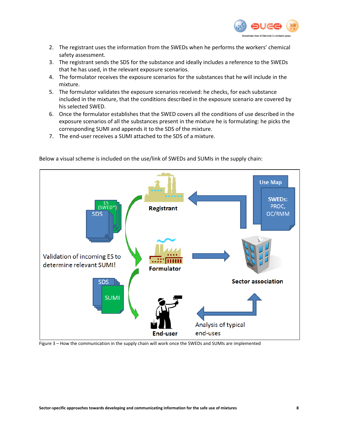

- 2. The registrant uses the information from the SWEDs when he performs the workers' chemical safety assessment.
- 3. The registrant sends the SDS for the substance and ideally includes a reference to the SWEDs that he has used, in the relevant exposure scenarios.
- 4. The formulator receives the exposure scenarios for the substances that he will include in the mixture.
- 5. The formulator validates the exposure scenarios received: he checks, for each substance included in the mixture, that the conditions described in the exposure scenario are covered by his selected SWED.
- 6. Once the formulator establishes that the SWED covers all the conditions of use described in the exposure scenarios of all the substances present in the mixture he is formulating: he picks the corresponding SUMI and appends it to the SDS of the mixture.
- 7. The end-user receives a SUMI attached to the SDS of a mixture.



Below a visual scheme is included on the use/link of SWEDs and SUMIs in the supply chain:

Figure 3 – How the communication in the supply chain will work once the SWEDs and SUMIs are implemented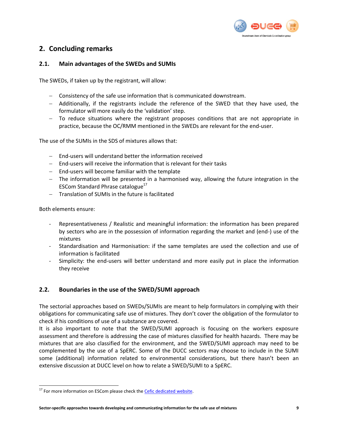

## <span id="page-12-0"></span>**2. Concluding remarks**

#### <span id="page-12-1"></span>**2.1. Main advantages of the SWEDs and SUMIs**

The SWEDs, if taken up by the registrant, will allow:

- Consistency of the safe use information that is communicated downstream.
- Additionally, if the registrants include the reference of the SWED that they have used, the formulator will more easily do the 'validation' step.
- To reduce situations where the registrant proposes conditions that are not appropriate in practice, because the OC/RMM mentioned in the SWEDs are relevant for the end-user.

The use of the SUMIs in the SDS of mixtures allows that:

- $\blacksquare$  Fnd-users will understand better the information received
- End-users will receive the information that is relevant for their tasks
- $-$  End-users will become familiar with the template
- The information will be presented in a harmonised way, allowing the future integration in the ESCom Standard Phrase catalogue<sup>17</sup>
- Translation of SUMIs in the future is facilitated

Both elements ensure:

 $\overline{a}$ 

- Representativeness / Realistic and meaningful information: the information has been prepared by sectors who are in the possession of information regarding the market and (end-) use of the mixtures
- Standardisation and Harmonisation: if the same templates are used the collection and use of information is facilitated
- Simplicity: the end-users will better understand and more easily put in place the information they receive

#### <span id="page-12-2"></span>**2.2. Boundaries in the use of the SWED/SUMI approach**

The sectorial approaches based on SWEDs/SUMIs are meant to help formulators in complying with their obligations for communicating safe use of mixtures. They don't cover the obligation of the formulator to check if his conditions of use of a substance are covered.

It is also important to note that the SWED/SUMI approach is focusing on the workers exposure assessment and therefore is addressing the case of mixtures classified for health hazards. There may be mixtures that are also classified for the environment, and the SWED/SUMI approach may need to be complemented by the use of a SpERC. Some of the DUCC sectors may choose to include in the SUMI some (additional) information related to environmental considerations, but there hasn't been an extensive discussion at DUCC level on how to relate a SWED/SUMI to a SpERC.

<sup>&</sup>lt;sup>17</sup> For more information on ESCom please check the **Cefic dedicated website**.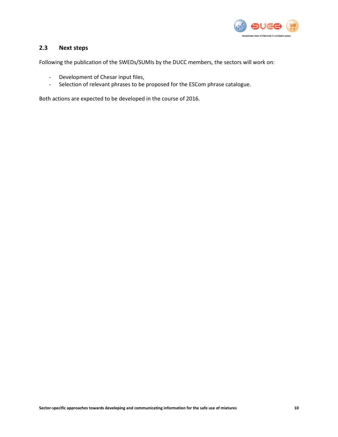

#### <span id="page-13-0"></span>**2.3 Next steps**

Following the publication of the SWEDs/SUMIs by the DUCC members, the sectors will work on:

- Development of Chesar input files,
- Selection of relevant phrases to be proposed for the ESCom phrase catalogue.

Both actions are expected to be developed in the course of 2016.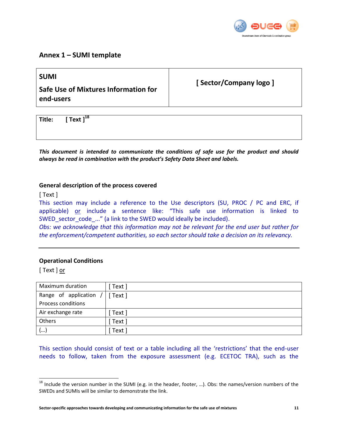

### <span id="page-14-0"></span>**Annex 1 – SUMI template**

| <b>SUMI</b><br>Safe Use of Mixtures Information for<br>end-users | [Sector/Company logo] |
|------------------------------------------------------------------|-----------------------|
|                                                                  |                       |
| Text $l^{18}$<br>Title:                                          |                       |

*This document is intended to communicate the conditions of safe use for the product and should always be read in combination with the product's Safety Data Sheet and labels.*

#### **General description of the process covered**

[ Text ]

This section may include a reference to the Use descriptors (SU, PROC / PC and ERC, if applicable) or include a sentence like: "This safe use information is linked to SWED sector code ..." (a link to the SWED would ideally be included).

*Obs: we acknowledge that this information may not be relevant for the end user but rather for the enforcement/competent authorities, so each sector should take a decision on its relevancy.* 

#### **Operational Conditions**

[ Text ] or

 $\overline{a}$ 

| Maximum duration          | Text     |
|---------------------------|----------|
| Range of application      | [ Text ] |
| <b>Process conditions</b> |          |
| Air exchange rate         | Text ]   |
| Others                    | Text     |
| ()                        | Text     |

This section should consist of text or a table including all the 'restrictions' that the end-user needs to follow, taken from the exposure assessment (e.g. ECETOC TRA), such as the

 $18$  Include the version number in the SUMI (e.g. in the header, footer, ...). Obs: the names/version numbers of the SWEDs and SUMIs will be similar to demonstrate the link.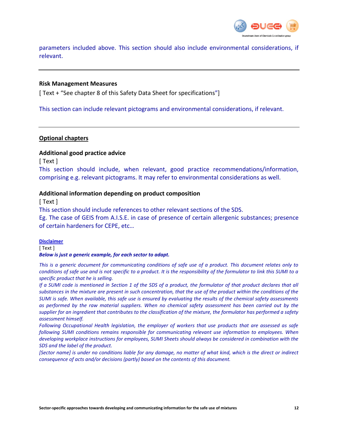

parameters included above. This section should also include environmental considerations, if relevant.

#### **Risk Management Measures**

[ Text + "See chapter 8 of this Safety Data Sheet for specifications"]

This section can include relevant pictograms and environmental considerations, if relevant.

#### **Optional chapters**

#### **Additional good practice advice**

[ Text ]

This section should include, when relevant, good practice recommendations/information, comprising e.g. relevant pictograms. It may refer to environmental considerations as well.

#### **Additional information depending on product composition**

[ Text ]

This section should include references to other relevant sections of the SDS.

Eg. The case of GEIS from A.I.S.E. in case of presence of certain allergenic substances; presence of certain hardeners for CEPE, etc…

#### **Disclaimer**

[ Text ]

#### *Below is just a generic example, for each sector to adapt.*

*This is a generic document for communicating conditions of safe use of a product. This document relates only to conditions of safe use and is not specific to a product. It is the responsibility of the formulator to link this SUMI to a specific product that he is selling.* 

*If a SUMI code is mentioned in Section 1 of the SDS of a product, the formulator of that product declares that all substances in the mixture are present in such concentration, that the use of the product within the conditions of the SUMI is safe. When available, this safe use is ensured by evaluating the results of the chemical safety assessments as performed by the raw material suppliers. When no chemical safety assessment has been carried out by the supplier for an ingredient that contributes to the classification of the mixture, the formulator has performed a safety assessment himself.* 

*Following Occupational Health legislation, the employer of workers that use products that are assessed as safe following SUMI conditions remains responsible for communicating relevant use information to employees. When developing workplace instructions for employees, SUMI Sheets should always be considered in combination with the SDS and the label of the product.* 

*[Sector name] is under no conditions liable for any damage, no matter of what kind, which is the direct or indirect consequence of acts and/or decisions (partly) based on the contents of this document.*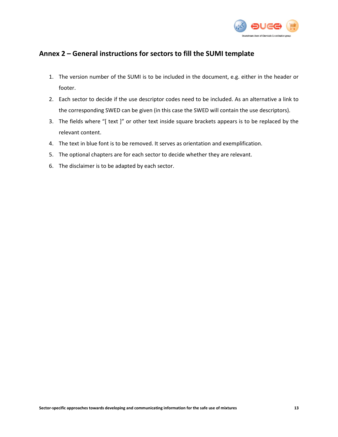

## <span id="page-16-0"></span>**Annex 2 – General instructions for sectors to fill the SUMI template**

- 1. The version number of the SUMI is to be included in the document, e.g. either in the header or footer.
- 2. Each sector to decide if the use descriptor codes need to be included. As an alternative a link to the corresponding SWED can be given (in this case the SWED will contain the use descriptors).
- 3. The fields where "[ text ]" or other text inside square brackets appears is to be replaced by the relevant content.
- 4. The text in blue font is to be removed. It serves as orientation and exemplification.
- 5. The optional chapters are for each sector to decide whether they are relevant.
- 6. The disclaimer is to be adapted by each sector.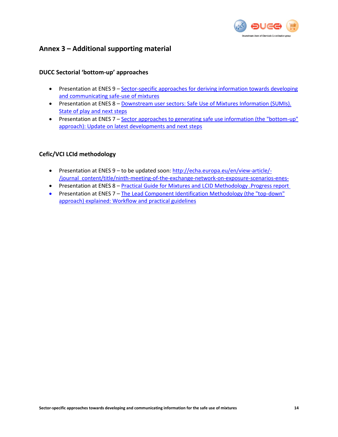

## <span id="page-17-0"></span>**Annex 3 – Additional supporting material**

#### <span id="page-17-1"></span>**DUCC Sectorial 'bottom-up' approaches**

- Presentation at ENES 9 Sector-specific approaches for deriving information towards developing and [communicating safe](http://echa.europa.eu/documents/10162/21978227/enes9_d_2_sumi_en.pdf)‐use of mixtures
- Presentation at ENES 8 [Downstream user sectors: Safe Use of Mixtures](http://echa.europa.eu/documents/10162/21878363/enes_8_sumi_en.pdf) Information (SUMIs). [State of play and next steps](http://echa.europa.eu/documents/10162/21878363/enes_8_sumi_en.pdf)
- Presentation at ENES 7 [Sector approaches to generating safe use information \(the "bottom-up"](http://echa.europa.eu/documents/10162/21771098/3_1_ducc_mixture_en.pdf)  [approach\): Update on latest developments and next steps](http://echa.europa.eu/documents/10162/21771098/3_1_ducc_mixture_en.pdf)

#### <span id="page-17-2"></span>**Cefic/VCI LCId methodology**

- Presentation at ENES 9 to be updated soon[: http://echa.europa.eu/en/view-article/-](http://echa.europa.eu/en/view-article/-/journal_content/title/ninth-meeting-of-the-exchange-network-on-exposure-scenarios-enes-) [/journal\\_content/title/ninth-meeting-of-the-exchange-network-on-exposure-scenarios-enes-](http://echa.europa.eu/en/view-article/-/journal_content/title/ninth-meeting-of-the-exchange-network-on-exposure-scenarios-enes-)
- Presentation at ENES 8 [Practical Guide for Mixtures and LCID Methodology .Progress report](http://echa.europa.eu/documents/10162/21878363/enes_8_cefic_lcid_methodology_en.pdf)
- Presentation at ENES 7 [The Lead Component Identification Methodology \(the "top-down"](http://echa.europa.eu/documents/10162/21771098/3_1_cefic_en.pdf) [approach\) explained: Workflow and practical guidelines](http://echa.europa.eu/documents/10162/21771098/3_1_cefic_en.pdf)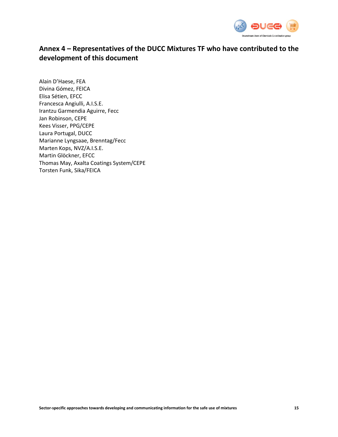

# <span id="page-18-0"></span>**Annex 4 – Representatives of the DUCC Mixtures TF who have contributed to the development of this document**

Alain D'Haese, FEA Divina Gómez, FEICA Elisa Sétien, EFCC Francesca Angiulli, A.I.S.E. Irantzu Garmendia Aguirre, Fecc Jan Robinson, CEPE Kees Visser, PPG/CEPE Laura Portugal, DUCC Marianne Lyngsaae, Brenntag/Fecc Marten Kops, NVZ/A.I.S.E. Martin Glöckner, EFCC Thomas May, Axalta Coatings System/CEPE Torsten Funk, Sika/FEICA